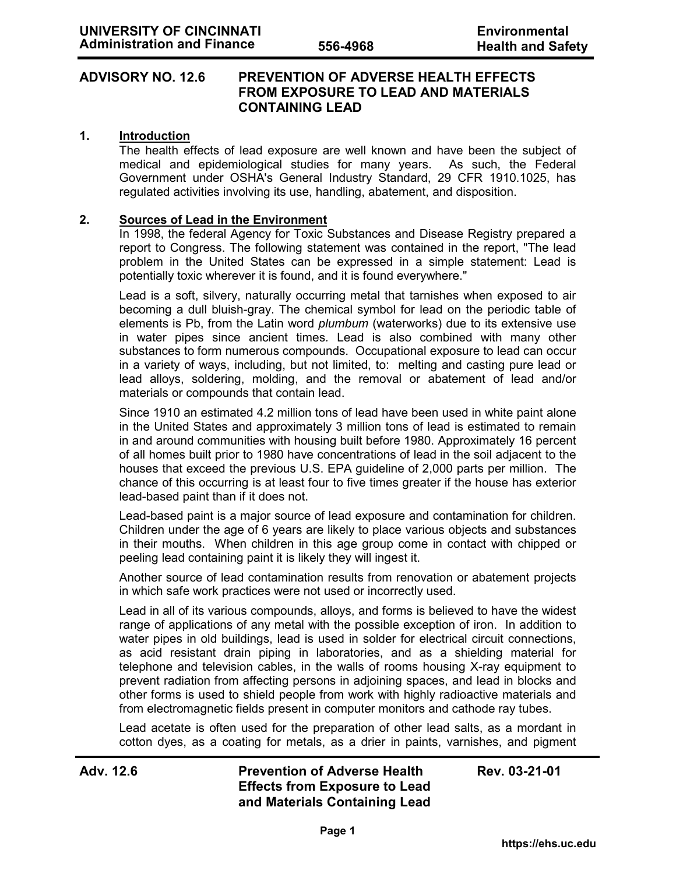## **ADVISORY NO. 12.6 PREVENTION OF ADVERSE HEALTH EFFECTS FROM EXPOSURE TO LEAD AND MATERIALS CONTAINING LEAD**

### **1. Introduction**

The health effects of lead exposure are well known and have been the subject of medical and epidemiological studies for many years. As such, the Federal Government under OSHA's General Industry Standard, 29 CFR 1910.1025, has regulated activities involving its use, handling, abatement, and disposition.

#### **2. Sources of Lead in the Environment**

In 1998, the federal Agency for Toxic Substances and Disease Registry prepared a report to Congress. The following statement was contained in the report, "The lead problem in the United States can be expressed in a simple statement: Lead is potentially toxic wherever it is found, and it is found everywhere."

Lead is a soft, silvery, naturally occurring metal that tarnishes when exposed to air becoming a dull bluish-gray. The chemical symbol for lead on the periodic table of elements is Pb, from the Latin word *plumbum* (waterworks) due to its extensive use in water pipes since ancient times*.* Lead is also combined with many other substances to form numerous compounds. Occupational exposure to lead can occur in a variety of ways, including, but not limited, to: melting and casting pure lead or lead alloys, soldering, molding, and the removal or abatement of lead and/or materials or compounds that contain lead.

Since 1910 an estimated 4.2 million tons of lead have been used in white paint alone in the United States and approximately 3 million tons of lead is estimated to remain in and around communities with housing built before 1980. Approximately 16 percent of all homes built prior to 1980 have concentrations of lead in the soil adjacent to the houses that exceed the previous U.S. EPA guideline of 2,000 parts per million. The chance of this occurring is at least four to five times greater if the house has exterior lead-based paint than if it does not.

Lead-based paint is a major source of lead exposure and contamination for children. Children under the age of 6 years are likely to place various objects and substances in their mouths. When children in this age group come in contact with chipped or peeling lead containing paint it is likely they will ingest it.

Another source of lead contamination results from renovation or abatement projects in which safe work practices were not used or incorrectly used.

Lead in all of its various compounds, alloys, and forms is believed to have the widest range of applications of any metal with the possible exception of iron. In addition to water pipes in old buildings, lead is used in solder for electrical circuit connections, as acid resistant drain piping in laboratories, and as a shielding material for telephone and television cables, in the walls of rooms housing X-ray equipment to prevent radiation from affecting persons in adjoining spaces, and lead in blocks and other forms is used to shield people from work with highly radioactive materials and from electromagnetic fields present in computer monitors and cathode ray tubes.

Lead acetate is often used for the preparation of other lead salts, as a mordant in cotton dyes, as a coating for metals, as a drier in paints, varnishes, and pigment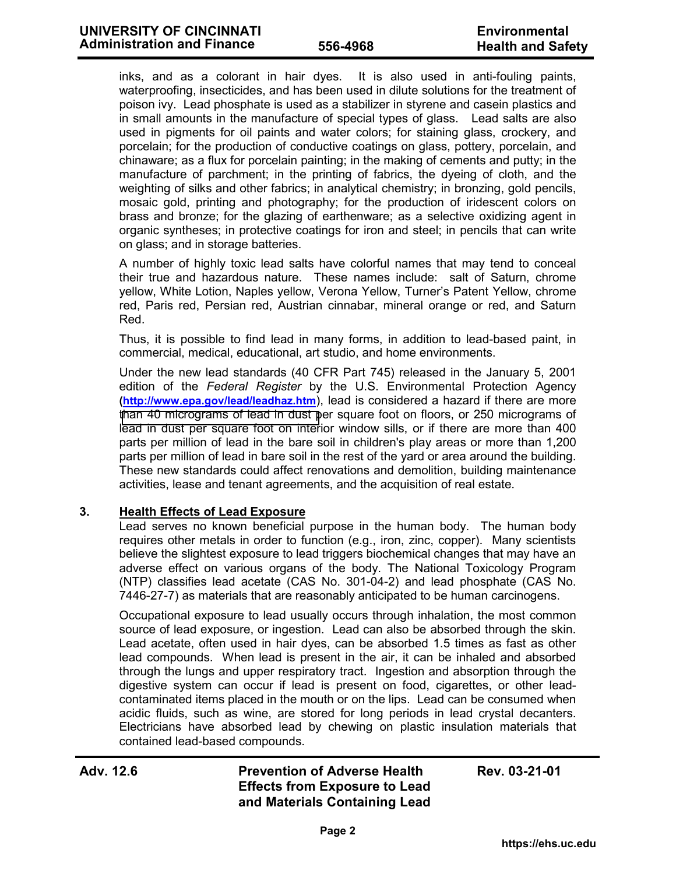inks, and as a colorant in hair dyes. It is also used in anti-fouling paints, waterproofing, insecticides, and has been used in dilute solutions for the treatment of poison ivy. Lead phosphate is used as a stabilizer in styrene and casein plastics and in small amounts in the manufacture of special types of glass. Lead salts are also used in pigments for oil paints and water colors; for staining glass, crockery, and porcelain; for the production of conductive coatings on glass, pottery, porcelain, and chinaware; as a flux for porcelain painting; in the making of cements and putty; in the manufacture of parchment; in the printing of fabrics, the dyeing of cloth, and the weighting of silks and other fabrics; in analytical chemistry; in bronzing, gold pencils, mosaic gold, printing and photography; for the production of iridescent colors on brass and bronze; for the glazing of earthenware; as a selective oxidizing agent in organic syntheses; in protective coatings for iron and steel; in pencils that can write on glass; and in storage batteries.

A number of highly toxic lead salts have colorful names that may tend to conceal their true and hazardous nature. These names include: salt of Saturn, chrome yellow, White Lotion, Naples yellow, Verona Yellow, Turner's Patent Yellow, chrome red, Paris red, Persian red, Austrian cinnabar, mineral orange or red, and Saturn Red.

Thus, it is possible to find lead in many forms, in addition to lead-based paint, in commercial, medical, educational, art studio, and home environments.

Under the new lead standards (40 CFR Part 745) released in the January 5, 2001 edition of the *Federal Register* by the U.S. Environmental Protection Agency **(http://www.epa.gov/lead/leadhaz.htm**), lead is considered a hazard if there are more [than 40 micrograms of lead in dust p](http://www.epa.gov/lead/leadhaz.htm)er square foot on floors, or 250 micrograms of lead in dust per square foot on interior window sills, or if there are more than 400 parts per million of lead in the bare soil in children's play areas or more than 1,200 parts per million of lead in bare soil in the rest of the yard or area around the building. These new standards could affect renovations and demolition, building maintenance activities, lease and tenant agreements, and the acquisition of real estate.

### **3. Health Effects of Lead Exposure**

Lead serves no known beneficial purpose in the human body. The human body requires other metals in order to function (e.g., iron, zinc, copper). Many scientists believe the slightest exposure to lead triggers biochemical changes that may have an adverse effect on various organs of the body. The National Toxicology Program (NTP) classifies lead acetate (CAS No. 301-04-2) and lead phosphate (CAS No. 7446-27-7) as materials that are reasonably anticipated to be human carcinogens.

Occupational exposure to lead usually occurs through inhalation, the most common source of lead exposure, or ingestion. Lead can also be absorbed through the skin. Lead acetate, often used in hair dyes, can be absorbed 1.5 times as fast as other lead compounds. When lead is present in the air, it can be inhaled and absorbed through the lungs and upper respiratory tract. Ingestion and absorption through the digestive system can occur if lead is present on food, cigarettes, or other leadcontaminated items placed in the mouth or on the lips. Lead can be consumed when acidic fluids, such as wine, are stored for long periods in lead crystal decanters. Electricians have absorbed lead by chewing on plastic insulation materials that contained lead-based compounds.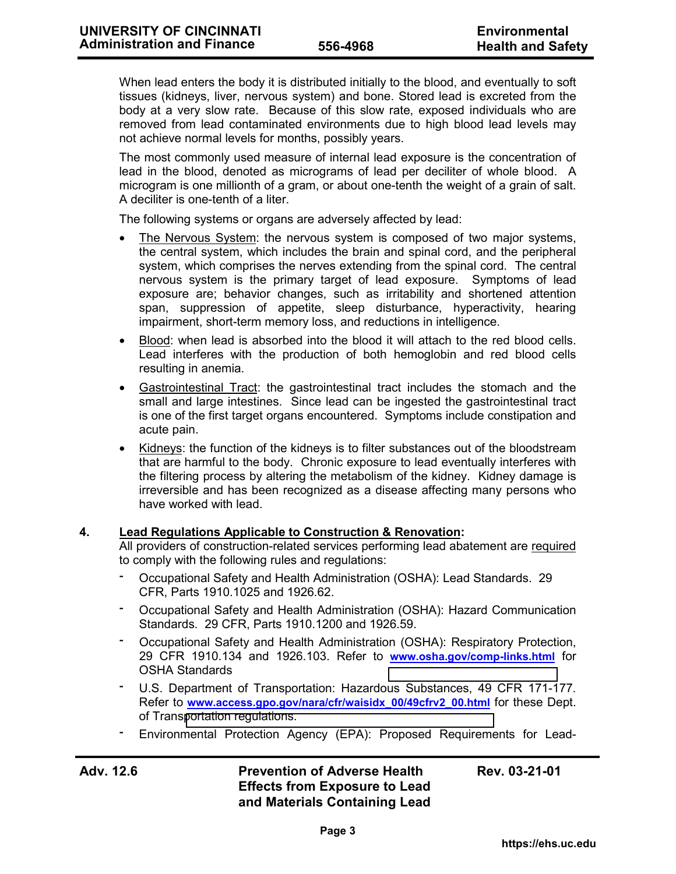When lead enters the body it is distributed initially to the blood, and eventually to soft tissues (kidneys, liver, nervous system) and bone. Stored lead is excreted from the body at a very slow rate. Because of this slow rate, exposed individuals who are removed from lead contaminated environments due to high blood lead levels may not achieve normal levels for months, possibly years.

The most commonly used measure of internal lead exposure is the concentration of lead in the blood, denoted as micrograms of lead per deciliter of whole blood. A microgram is one millionth of a gram, or about one-tenth the weight of a grain of salt. A deciliter is one-tenth of a liter.

The following systems or organs are adversely affected by lead:

- The Nervous System: the nervous system is composed of two major systems, the central system, which includes the brain and spinal cord, and the peripheral system, which comprises the nerves extending from the spinal cord. The central nervous system is the primary target of lead exposure. Symptoms of lead exposure are; behavior changes, such as irritability and shortened attention span, suppression of appetite, sleep disturbance, hyperactivity, hearing impairment, short-term memory loss, and reductions in intelligence.
- Blood: when lead is absorbed into the blood it will attach to the red blood cells. Lead interferes with the production of both hemoglobin and red blood cells resulting in anemia.
- Gastrointestinal Tract: the gastrointestinal tract includes the stomach and the small and large intestines. Since lead can be ingested the gastrointestinal tract is one of the first target organs encountered. Symptoms include constipation and acute pain.
- Kidneys: the function of the kidneys is to filter substances out of the bloodstream that are harmful to the body. Chronic exposure to lead eventually interferes with the filtering process by altering the metabolism of the kidney. Kidney damage is irreversible and has been recognized as a disease affecting many persons who have worked with lead.

# **4. Lead Regulations Applicable to Construction & Renovation:**

All providers of construction-related services performing lead abatement are required to comply with the following rules and regulations:

- Occupational Safety and Health Administration (OSHA): Lead Standards. 29 CFR, Parts 1910.1025 and 1926.62.
- Occupational Safety and Health Administration (OSHA): Hazard Communication Standards. 29 CFR, Parts 1910.1200 and 1926.59.
- Occupational Safety and Health Administration (OSHA): Respiratory Protection, 29 CFR 1910.134 and 1926.103. Refer to **www.osha.gov/comp-links.html** for OSHA Standards
- U.S. Department of Transportation: Hazardous Substances, 49 CFR 171-177. Refer to **www.access.gpo.gov/nara/cfr/waisidx 00/49cfrv2 00.html** for these Dept. of Trans[portation regulations.](http://www.access.gpo.gov/nara/cfr/waisidx_00/49cfrv2_00.html)
- ־ Environmental Protection Agency (EPA): Proposed Requirements for Lead-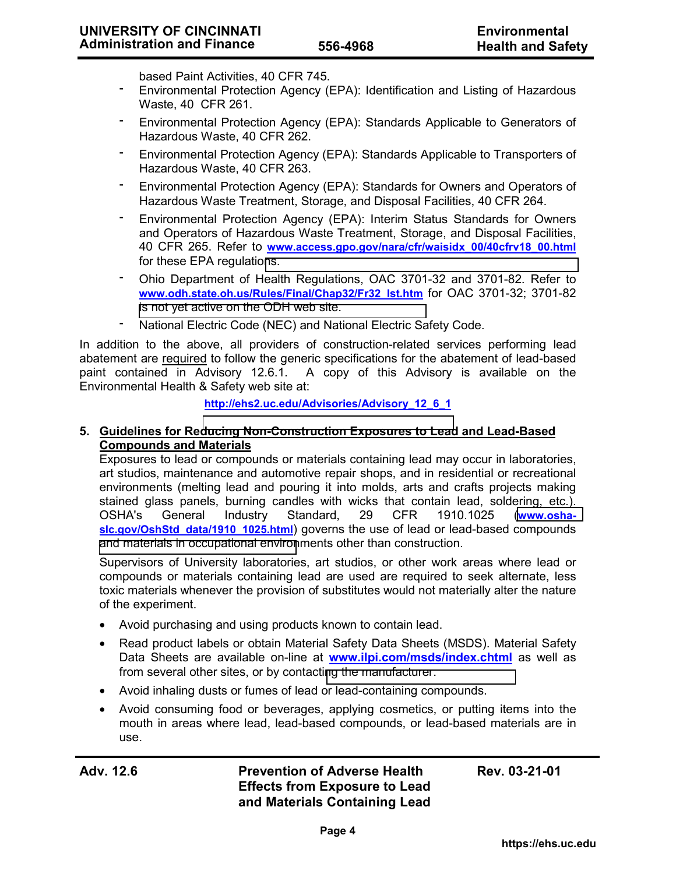based Paint Activities, 40 CFR 745.

- ־ Environmental Protection Agency (EPA): Identification and Listing of Hazardous Waste, 40 CFR 261.
- ־ Environmental Protection Agency (EPA): Standards Applicable to Generators of Hazardous Waste, 40 CFR 262.
- ־ Environmental Protection Agency (EPA): Standards Applicable to Transporters of Hazardous Waste, 40 CFR 263.
- Environmental Protection Agency (EPA): Standards for Owners and Operators of Hazardous Waste Treatment, Storage, and Disposal Facilities, 40 CFR 264.
- ־ Environmental Protection Agency (EPA): Interim Status Standards for Owners and Operators of Hazardous Waste Treatment, Storage, and Disposal Facilities, 40 CFR 265. Refer to **www.access.gpo.gov/nara/cfr/waisidx\_00/40cfrv18\_00.html** for these EPA regulatio[ns.](http://www.access.gpo.gov/nara/cfr/waisidx_00/40cfrv18_00.html)
- ־ Ohio Department of Health Regulations, OAC 3701-32 and 3701-82. Refer to **www.odh.state.oh.us/Rules/Final/Chap32/Fr32\_lst.htm** for OAC 3701-32; 3701-82 [is not yet active on the ODH web site.](http://www.odh.state.oh.us/Rules/Final/Chap32/Fr32_lst.htm)
	- National Electric Code (NEC) and National Electric Safety Code.

In addition to the above, all providers of construction-related services performing lead abatement are required to follow the generic specifications for the abatement of lead-based<br>paint contained in Advisory 12.6.1. A copy of this Advisory is available on the A copy of this Advisory is available on the Environmental Health & Safety web site at:

**http://ehs2.uc.edu/Advisories/Advisory\_12\_6\_1**

### **5. Guidelines for Re[ducing Non-Construction Exposures to Lead](http://ehs2.uc.edu/Advisories/Advisory_12_6_1) and Lead-Based Compounds and Materials**

Exposures to lead or compounds or materials containing lead may occur in laboratories, art studios, maintenance and automotive repair shops, and in residential or recreational environments (melting lead and pouring it into molds, arts and crafts projects making stained glass panels, burning candles with wicks that contain lead, soldering, etc.). OSHA's General Industry Standard, 29 CFR 1910.1025 (**[www.osha](http://www.osha-slc.gov/OshStd_data/1910_1025.html)**slc.gov/OshStd\_data/1910\_1025.html) governs the use of lead or lead-based compounds [and materials in occupational environ](http://www.osha-slc.gov/OshStd_data/1910_1025.html)ments other than construction.

Supervisors of University laboratories, art studios, or other work areas where lead or compounds or materials containing lead are used are required to seek alternate, less toxic materials whenever the provision of substitutes would not materially alter the nature of the experiment.

- Avoid purchasing and using products known to contain lead.
- Read product labels or obtain Material Safety Data Sheets (MSDS). Material Safety Data Sheets are available on-line at **www.ilpi.com/msds/index.chtml** as well as from several other sites, or by contacti[ng the manufacturer.](http://www.ilpi.com/msds/index.chtml)
- Avoid inhaling dusts or fumes of lead or lead-containing compounds.
- Avoid consuming food or beverages, applying cosmetics, or putting items into the mouth in areas where lead, lead-based compounds, or lead-based materials are in use.